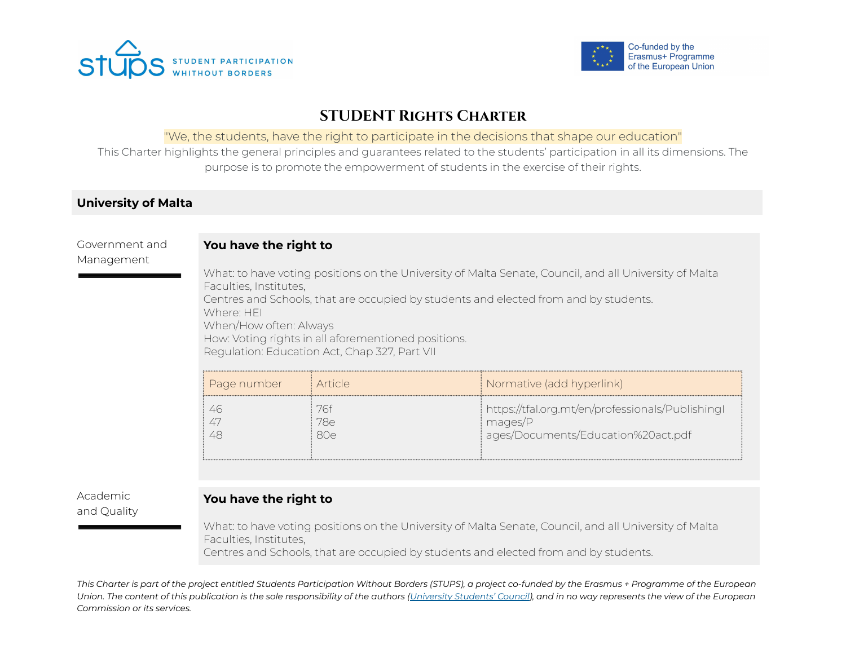



# **STUDENT Rights Charter**

## "We, the students, have the right to participate in the decisions that shape our education"

This Charter highlights the general principles and guarantees related to the students' participation in all its dimensions. The purpose is to promote the empowerment of students in the exercise of their rights.

## **University of Malta**

## **You have the right to**

Management

Government and

What: to have voting positions on the University of Malta Senate, Council, and all University of Malta Faculties, Institutes, Centres and Schools, that are occupied by students and elected from and by students. Where: HEI When/How often: Always How: Voting rights in all aforementioned positions. Regulation: Education Act, Chap 327, Part VII

| of Page number | i Article.   | Normative (add hyperlink)                                                                         |
|----------------|--------------|---------------------------------------------------------------------------------------------------|
|                | 786<br>R( )A | https://tfal.org.mt/en/professionals/PublishingI<br>mages/P<br>ages/Documents/Education%20act.pdf |

Academic and Quality

# **You have the right to**

What: to have voting positions on the University of Malta Senate, Council, and all University of Malta Faculties, Institutes,

Centres and Schools, that are occupied by students and elected from and by students.

This Charter is part of the project entitled Students Participation Without Borders (STUPS), a project co-funded by the Erasmus + Programme of the European Union. The content of this publication is the sole responsibility of the authors ([University](https://www.ksu.org.mt/) Students' Council), and in no way represents the view of the European *Commission or its services.*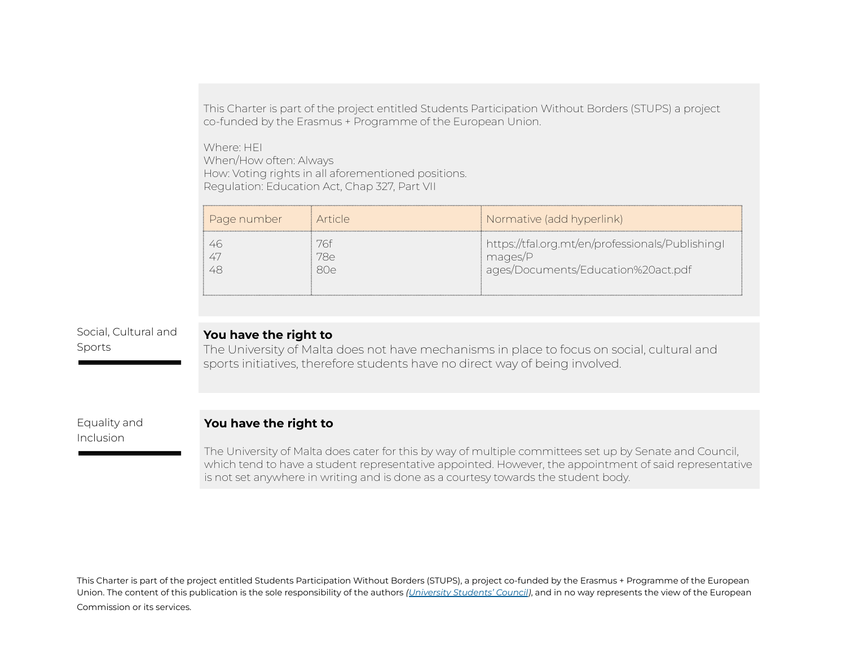This Charter is part of the project entitled Students Participation Without Borders (STUPS) a project co-funded by the Erasmus + Programme of the European Union.

Where: HEI When/How often: Always How: Voting rights in all aforementioned positions. Regulation: Education Act, Chap 327, Part VII

| Page number | <i>i</i> Article  | Normative (add hyperlink)                                                                         |
|-------------|-------------------|---------------------------------------------------------------------------------------------------|
|             | 76f<br>78e<br>80e | https://tfal.org.mt/en/professionals/PublishingI<br>mages/P<br>ages/Documents/Education%20act.pdf |

Social, Cultural and Sports

#### **You have the right to**

The University of Malta does not have mechanisms in place to focus on social, cultural and sports initiatives, therefore students have no direct way of being involved.

Equality and Inclusion

#### **You have the right to**

The University of Malta does cater for this by way of multiple committees set up by Senate and Council, which tend to have a student representative appointed. However, the appointment of said representative is not set anywhere in writing and is done as a courtesy towards the student body.

This Charter is part of the project entitled Students Participation Without Borders (STUPS), a project co-funded by the Erasmus + Programme of the European Union. The content of this publication is the sole responsibility of the authors *([University](https://www.ksu.org.mt/) Students' Council)*, and in no way represents the view of the European Commission or its services.